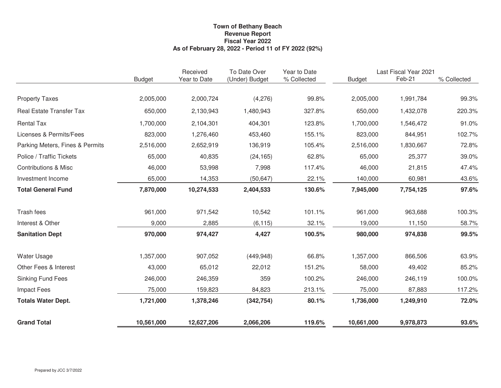## **As of February 28, 2022 - Period 11 of FY 2022 (92%) Town of Bethany Beach Fiscal Year 2022 Revenue Report**

|                                 |               | Received     | To Date Over   | Year to Date | Last Fiscal Year 2021 |           |             |  |
|---------------------------------|---------------|--------------|----------------|--------------|-----------------------|-----------|-------------|--|
|                                 | <b>Budget</b> | Year to Date | (Under) Budget | % Collected  | <b>Budget</b>         | Feb-21    | % Collected |  |
|                                 |               |              |                |              |                       |           |             |  |
| <b>Property Taxes</b>           | 2,005,000     | 2,000,724    | (4,276)        | 99.8%        | 2,005,000             | 1,991,784 | 99.3%       |  |
| <b>Real Estate Transfer Tax</b> | 650,000       | 2,130,943    | 1,480,943      | 327.8%       | 650,000               | 1,432,078 | 220.3%      |  |
| <b>Rental Tax</b>               | 1,700,000     | 2,104,301    | 404,301        | 123.8%       | 1,700,000             | 1,546,472 | 91.0%       |  |
| Licenses & Permits/Fees         | 823,000       | 1,276,460    | 453,460        | 155.1%       | 823,000               | 844,951   | 102.7%      |  |
| Parking Meters, Fines & Permits | 2,516,000     | 2,652,919    | 136,919        | 105.4%       | 2,516,000             | 1,830,667 | 72.8%       |  |
| Police / Traffic Tickets        | 65,000        | 40,835       | (24, 165)      | 62.8%        | 65,000                | 25,377    | 39.0%       |  |
| <b>Contributions &amp; Misc</b> | 46,000        | 53,998       | 7,998          | 117.4%       | 46,000                | 21,815    | 47.4%       |  |
| Investment Income               | 65,000        | 14,353       | (50, 647)      | 22.1%        | 140,000               | 60,981    | 43.6%       |  |
| <b>Total General Fund</b>       | 7,870,000     | 10,274,533   | 2,404,533      | 130.6%       | 7,945,000             | 7,754,125 | 97.6%       |  |
|                                 |               |              |                |              |                       |           |             |  |
| Trash fees                      | 961,000       | 971,542      | 10,542         | 101.1%       | 961,000               | 963,688   | 100.3%      |  |
| Interest & Other                | 9,000         | 2,885        | (6, 115)       | 32.1%        | 19,000                | 11,150    | 58.7%       |  |
| <b>Sanitation Dept</b>          | 970,000       | 974,427      | 4,427          | 100.5%       | 980,000               | 974,838   | 99.5%       |  |
| <b>Water Usage</b>              | 1,357,000     | 907,052      | (449, 948)     | 66.8%        | 1,357,000             | 866,506   | 63.9%       |  |
| Other Fees & Interest           | 43,000        | 65,012       | 22,012         | 151.2%       | 58,000                | 49,402    | 85.2%       |  |
| <b>Sinking Fund Fees</b>        | 246,000       | 246,359      | 359            | 100.2%       | 246,000               | 246,119   | 100.0%      |  |
| <b>Impact Fees</b>              | 75,000        | 159,823      | 84,823         | 213.1%       | 75,000                | 87,883    | 117.2%      |  |
| <b>Totals Water Dept.</b>       | 1,721,000     | 1,378,246    | (342, 754)     | 80.1%        | 1,736,000             | 1,249,910 | 72.0%       |  |
| <b>Grand Total</b>              | 10,561,000    | 12,627,206   | 2,066,206      | 119.6%       | 10,661,000            | 9,978,873 | 93.6%       |  |